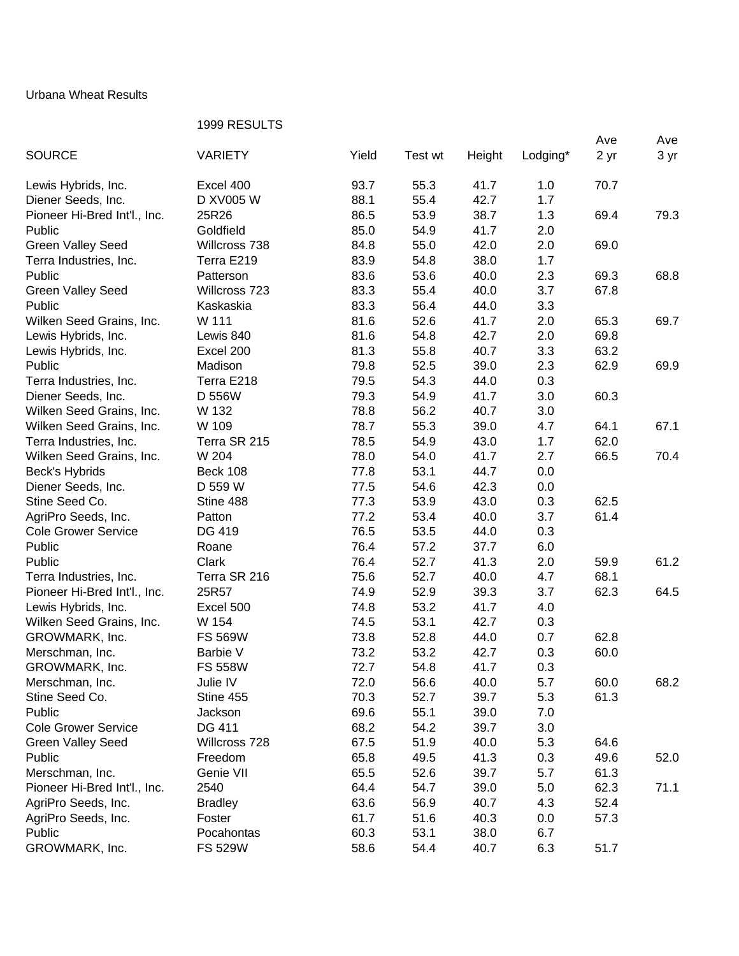## Urbana Wheat Results

## 1999 RESULTS

|                              |                 |       |         |        |          | Ave  | Ave  |
|------------------------------|-----------------|-------|---------|--------|----------|------|------|
| <b>SOURCE</b>                | <b>VARIETY</b>  | Yield | Test wt | Height | Lodging* | 2 yr | 3 yr |
|                              |                 |       |         |        |          |      |      |
| Lewis Hybrids, Inc.          | Excel 400       | 93.7  | 55.3    | 41.7   | 1.0      | 70.7 |      |
| Diener Seeds, Inc.           | D XV005 W       | 88.1  | 55.4    | 42.7   | 1.7      |      |      |
| Pioneer Hi-Bred Int'l., Inc. | 25R26           | 86.5  | 53.9    | 38.7   | 1.3      | 69.4 | 79.3 |
| Public                       | Goldfield       | 85.0  | 54.9    | 41.7   | 2.0      |      |      |
| <b>Green Valley Seed</b>     | Willcross 738   | 84.8  | 55.0    | 42.0   | 2.0      | 69.0 |      |
| Terra Industries, Inc.       | Terra E219      | 83.9  | 54.8    | 38.0   | 1.7      |      |      |
| Public                       | Patterson       | 83.6  | 53.6    | 40.0   | 2.3      | 69.3 | 68.8 |
| <b>Green Valley Seed</b>     | Willcross 723   | 83.3  | 55.4    | 40.0   | 3.7      | 67.8 |      |
| Public                       | Kaskaskia       | 83.3  | 56.4    | 44.0   | 3.3      |      |      |
| Wilken Seed Grains, Inc.     | W 111           | 81.6  | 52.6    | 41.7   | 2.0      | 65.3 | 69.7 |
| Lewis Hybrids, Inc.          | Lewis 840       | 81.6  | 54.8    | 42.7   | 2.0      | 69.8 |      |
| Lewis Hybrids, Inc.          | Excel 200       | 81.3  | 55.8    | 40.7   | 3.3      | 63.2 |      |
| Public                       | Madison         | 79.8  | 52.5    | 39.0   | 2.3      | 62.9 | 69.9 |
| Terra Industries, Inc.       | Terra E218      | 79.5  | 54.3    | 44.0   | 0.3      |      |      |
| Diener Seeds, Inc.           | D 556W          | 79.3  | 54.9    | 41.7   | 3.0      | 60.3 |      |
| Wilken Seed Grains, Inc.     | W 132           | 78.8  | 56.2    | 40.7   | 3.0      |      |      |
| Wilken Seed Grains, Inc.     | W 109           | 78.7  | 55.3    | 39.0   | 4.7      | 64.1 | 67.1 |
| Terra Industries, Inc.       | Terra SR 215    | 78.5  | 54.9    | 43.0   | 1.7      | 62.0 |      |
|                              | W 204           | 78.0  | 54.0    | 41.7   | 2.7      |      | 70.4 |
| Wilken Seed Grains, Inc.     |                 |       |         |        |          | 66.5 |      |
| Beck's Hybrids               | <b>Beck 108</b> | 77.8  | 53.1    | 44.7   | 0.0      |      |      |
| Diener Seeds, Inc.           | D 559 W         | 77.5  | 54.6    | 42.3   | 0.0      |      |      |
| Stine Seed Co.               | Stine 488       | 77.3  | 53.9    | 43.0   | 0.3      | 62.5 |      |
| AgriPro Seeds, Inc.          | Patton          | 77.2  | 53.4    | 40.0   | 3.7      | 61.4 |      |
| <b>Cole Grower Service</b>   | DG 419          | 76.5  | 53.5    | 44.0   | 0.3      |      |      |
| Public                       | Roane           | 76.4  | 57.2    | 37.7   | 6.0      |      |      |
| Public                       | Clark           | 76.4  | 52.7    | 41.3   | 2.0      | 59.9 | 61.2 |
| Terra Industries, Inc.       | Terra SR 216    | 75.6  | 52.7    | 40.0   | 4.7      | 68.1 |      |
| Pioneer Hi-Bred Int'l., Inc. | 25R57           | 74.9  | 52.9    | 39.3   | 3.7      | 62.3 | 64.5 |
| Lewis Hybrids, Inc.          | Excel 500       | 74.8  | 53.2    | 41.7   | 4.0      |      |      |
| Wilken Seed Grains, Inc.     | W 154           | 74.5  | 53.1    | 42.7   | 0.3      |      |      |
| GROWMARK, Inc.               | <b>FS 569W</b>  | 73.8  | 52.8    | 44.0   | 0.7      | 62.8 |      |
| Merschman, Inc.              | Barbie V        | 73.2  | 53.2    | 42.7   | 0.3      | 60.0 |      |
| GROWMARK, Inc.               | <b>FS 558W</b>  | 72.7  | 54.8    | 41.7   | 0.3      |      |      |
| Merschman, Inc.              | Julie IV        | 72.0  | 56.6    | 40.0   | 5.7      | 60.0 | 68.2 |
| Stine Seed Co.               | Stine 455       | 70.3  | 52.7    | 39.7   | 5.3      | 61.3 |      |
| Public                       | Jackson         | 69.6  | 55.1    | 39.0   | 7.0      |      |      |
| <b>Cole Grower Service</b>   | DG 411          | 68.2  | 54.2    | 39.7   | 3.0      |      |      |
| <b>Green Valley Seed</b>     | Willcross 728   | 67.5  | 51.9    | 40.0   | 5.3      | 64.6 |      |
| Public                       | Freedom         | 65.8  | 49.5    | 41.3   | 0.3      | 49.6 | 52.0 |
| Merschman, Inc.              | Genie VII       | 65.5  | 52.6    | 39.7   | 5.7      | 61.3 |      |
| Pioneer Hi-Bred Int'l., Inc. | 2540            | 64.4  | 54.7    | 39.0   | 5.0      | 62.3 | 71.1 |
| AgriPro Seeds, Inc.          | <b>Bradley</b>  | 63.6  | 56.9    | 40.7   | 4.3      | 52.4 |      |
| AgriPro Seeds, Inc.          | Foster          | 61.7  | 51.6    | 40.3   | 0.0      | 57.3 |      |
| Public                       | Pocahontas      | 60.3  | 53.1    | 38.0   | 6.7      |      |      |
| GROWMARK, Inc.               | <b>FS 529W</b>  | 58.6  | 54.4    | 40.7   | 6.3      | 51.7 |      |